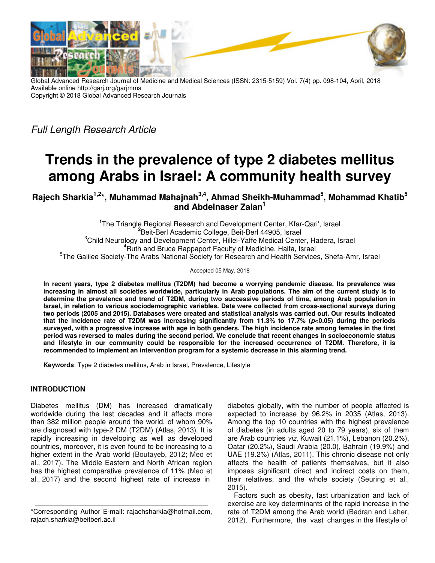

Global Advanced Research Journal of Medicine and Medical Sciences (ISSN: 2315-5159) Vol. 7(4) pp. 098-104, April, 2018 Available online http://garj.org/garjmms Copyright © 2018 Global Advanced Research Journals

Full Length Research Article

# **Trends in the prevalence of type 2 diabetes mellitus among Arabs in Israel: A community health survey**

**Rajech Sharkia1,2\*, Muhammad Mahajnah3,4, Ahmad Sheikh-Muhammad<sup>5</sup> , Mohammad Khatib<sup>5</sup> and Abdelnaser Zalan<sup>1</sup>**

<sup>1</sup>The Triangle Regional Research and Development Center, Kfar-Qari', Israel <sup>2</sup>Beit-Berl Academic College, Beit-Berl 44905, Israel <sup>3</sup>Child Neurology and Development Center, Hillel-Yaffe Medical Center, Hadera, Israel <sup>4</sup>Ruth and Bruce Rappaport Faculty of Medicine, Haifa, Israel <sup>5</sup>The Galilee Society-The Arabs National Society for Research and Health Services, Shefa-Amr, Israel

Accepted 05 May, 2018

**In recent years, type 2 diabetes mellitus (T2DM) had become a worrying pandemic disease. Its prevalence was increasing in almost all societies worldwide, particularly in Arab populations. The aim of the current study is to determine the prevalence and trend of T2DM, during two successive periods of time, among Arab population in Israel, in relation to various sociodemographic variables. Data were collected from cross-sectional surveys during two periods (2005 and 2015). Databases were created and statistical analysis was carried out. Our results indicated that the incidence rate of T2DM was increasing significantly from 11.3% to 17.7% (p<0.05) during the periods surveyed, with a progressive increase with age in both genders. The high incidence rate among females in the first period was reversed to males during the second period. We conclude that recent changes in socioeconomic status and lifestyle in our community could be responsible for the increased occurrence of T2DM. Therefore, it is recommended to implement an intervention program for a systemic decrease in this alarming trend.** 

**Keywords**: Type 2 diabetes mellitus, Arab in Israel, Prevalence, Lifestyle

### **INTRODUCTION**

Diabetes mellitus (DM) has increased dramatically worldwide during the last decades and it affects more than 382 million people around the world, of whom 90% are diagnosed with type-2 DM (T2DM) (Atlas, 2013). It is rapidly increasing in developing as well as developed countries, moreover, it is even found to be increasing to a higher extent in the Arab world (Boutayeb, 2012; Meo et al., 2017). The Middle Eastern and North African region has the highest comparative prevalence of 11% (Meo et al., 2017) and the second highest rate of increase in

diabetes globally, with the number of people affected is expected to increase by 96.2% in 2035 (Atlas, 2013). Among the top 10 countries with the highest prevalence of diabetes (in adults aged 20 to 79 years), six of them are Arab countries viz, Kuwait (21.1%), Lebanon (20.2%), Qatar (20.2%), Saudi Arabia (20.0), Bahrain (19.9%) and UAE (19.2%) (Atlas, 2011). This chronic disease not only affects the health of patients themselves, but it also imposes significant direct and indirect costs on them, their relatives, and the whole society (Seuring et al., 2015).

Factors such as obesity, fast urbanization and lack of exercise are key determinants of the rapid increase in the rate of T2DM among the Arab world (Badran and Laher, 2012). Furthermore, the vast changes in the lifestyle of

<sup>\*</sup>Corresponding Author E-mail: rajachsharkia@hotmail.com, rajach.sharkia@beitberl.ac.il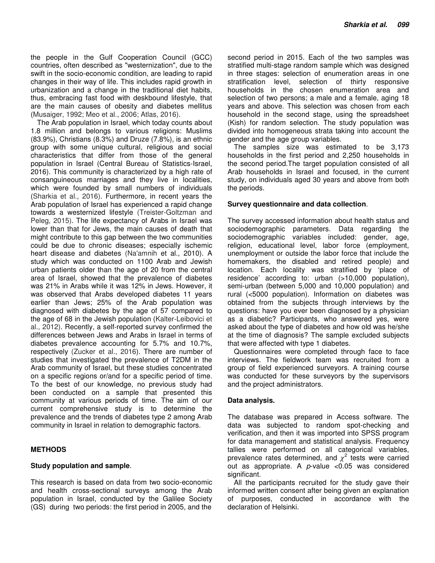the people in the Gulf Cooperation Council (GCC) countries, often described as "westernization", due to the swift in the socio-economic condition, are leading to rapid changes in their way of life. This includes rapid growth in urbanization and a change in the traditional diet habits, thus, embracing fast food with deskbound lifestyle, that are the main causes of obesity and diabetes mellitus (Musaiger, 1992; Meo et al., 2006; Atlas, 2016).

The Arab population in Israel, which today counts about 1.8 million and belongs to various religions: Muslims (83.9%), Christians (8.3%) and Druze (7.8%), is an ethnic group with some unique cultural, religious and social characteristics that differ from those of the general population in Israel (Central Bureau of Statistics-Israel, 2016). This community is characterized by a high rate of consanguineous marriages and they live in localities, which were founded by small numbers of individuals (Sharkia et al., 2016). Furthermore, in recent years the Arab population of Israel has experienced a rapid change towards a westernized lifestyle (Treister-Goltzman and Peleg, 2015). The life expectancy of Arabs in Israel was lower than that for Jews, the main causes of death that might contribute to this gap between the two communities could be due to chronic diseases; especially ischemic heart disease and diabetes (Na'amnih et al., 2010). A study which was conducted on 1100 Arab and Jewish urban patients older than the age of 20 from the central area of Israel, showed that the prevalence of diabetes was 21% in Arabs while it was 12% in Jews. However, it was observed that Arabs developed diabetes 11 years earlier than Jews; 25% of the Arab population was diagnosed with diabetes by the age of 57 compared to the age of 68 in the Jewish population (Kalter-Leibovici et al., 2012). Recently, a self-reported survey confirmed the differences between Jews and Arabs in Israel in terms of diabetes prevalence accounting for 5.7% and 10.7%, respectively (Zucker et al., 2016). There are number of studies that investigated the prevalence of T2DM in the Arab community of Israel, but these studies concentrated on a specific regions or/and for a specific period of time. To the best of our knowledge, no previous study had been conducted on a sample that presented this community at various periods of time. The aim of our current comprehensive study is to determine the prevalence and the trends of diabetes type 2 among Arab community in Israel in relation to demographic factors.

#### **METHODS**

#### **Study population and sample**.

This research is based on data from two socio-economic and health cross-sectional surveys among the Arab population in Israel, conducted by the Galilee Society (GS) during two periods: the first period in 2005, and the

second period in 2015. Each of the two samples was stratified multi-stage random sample which was designed in three stages: selection of enumeration areas in one stratification level, selection of thirty responsive households in the chosen enumeration area and selection of two persons; a male and a female, aging 18 years and above. This selection was chosen from each household in the second stage, using the spreadsheet (Kish) for random selection. The study population was divided into homogeneous strata taking into account the gender and the age group variables.

The samples size was estimated to be 3,173 households in the first period and 2,250 households in the second period.The target population consisted of all Arab households in Israel and focused, in the current study, on individuals aged 30 years and above from both the periods.

#### **Survey questionnaire and data collection**.

The survey accessed information about health status and sociodemographic parameters. Data regarding the sociodemographic variables included: gender, age, religion, educational level, labor force (employment, unemployment or outside the labor force that include the homemakers, the disabled and retired people) and location. Each locality was stratified by 'place of residence' according to: urban (>10,000 population), semi-urban (between 5,000 and 10,000 population) and rural (<5000 population). Information on diabetes was obtained from the subjects through interviews by the questions: have you ever been diagnosed by a physician as a diabetic? Participants, who answered yes, were asked about the type of diabetes and how old was he/she at the time of diagnosis? The sample excluded subjects that were affected with type 1 diabetes.

Questionnaires were completed through face to face interviews. The fieldwork team was recruited from a group of field experienced surveyors. A training course was conducted for these surveyors by the supervisors and the project administrators.

#### **Data analysis.**

The database was prepared in Access software. The data was subjected to random spot-checking and verification, and then it was imported into SPSS program for data management and statistical analysis. Frequency tallies were performed on all categorical variables, prevalence rates determined, and  $\chi^2$  tests were carried out as appropriate. A  $p$ -value <0.05 was considered significant.

All the participants recruited for the study gave their informed written consent after being given an explanation of purposes, conducted in accordance with the declaration of Helsinki.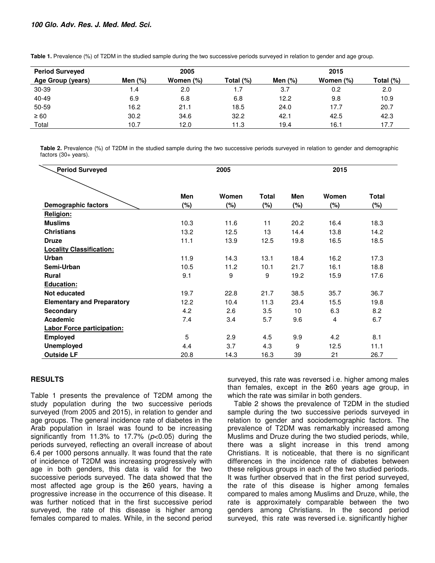| <b>Period Surveyed</b> | 2005      |           |           | 2015      |           |           |  |  |
|------------------------|-----------|-----------|-----------|-----------|-----------|-----------|--|--|
| Age Group (years)      | Men $(%)$ | Women (%) | Total (%) | Men $(%)$ | Women (%) | Total (%) |  |  |
| 30-39                  | 1.4       | 2.0       | 1.7       | 3.7       | 0.2       | 2.0       |  |  |
| 40-49                  | 6.9       | 6.8       | 6.8       | 12.2      | 9.8       | 10.9      |  |  |
| 50-59                  | 16.2      | 21.1      | 18.5      | 24.0      | 17.7      | 20.7      |  |  |
| $\geq 60$              | 30.2      | 34.6      | 32.2      | 42.1      | 42.5      | 42.3      |  |  |
| Total                  | 10.7      | 12.0      | 11.3      | 19.4      | 16.1      | 17.7      |  |  |

Table 1. Prevalence (%) of T2DM in the studied sample during the two successive periods surveyed in relation to gender and age group.

**Table 2.** Prevalence (%) of T2DM in the studied sample during the two successive periods surveyed in relation to gender and demographic factors (30+ years).

| <b>Period Surveyed</b>            | 2005       |       |              | 2015   |       |              |
|-----------------------------------|------------|-------|--------------|--------|-------|--------------|
|                                   | <b>Men</b> | Women | <b>Total</b> | Men    | Women | <b>Total</b> |
| Demographic factors               | $(\%)$     | (%)   | $(\%)$       | $(\%)$ | (%)   | (%)          |
| Religion:                         |            |       |              |        |       |              |
| <b>Muslims</b>                    | 10.3       | 11.6  | 11           | 20.2   | 16.4  | 18.3         |
| <b>Christians</b>                 | 13.2       | 12.5  | 13           | 14.4   | 13.8  | 14.2         |
| <b>Druze</b>                      | 11.1       | 13.9  | 12.5         | 19.8   | 16.5  | 18.5         |
| <b>Locality Classification:</b>   |            |       |              |        |       |              |
| <b>Urban</b>                      | 11.9       | 14.3  | 13.1         | 18.4   | 16.2  | 17.3         |
| Semi-Urban                        | 10.5       | 11.2  | 10.1         | 21.7   | 16.1  | 18.8         |
| <b>Rural</b>                      | 9.1        | 9     | 9            | 19.2   | 15.9  | 17.6         |
| Education:                        |            |       |              |        |       |              |
| Not educated                      | 19.7       | 22.8  | 21.7         | 38.5   | 35.7  | 36.7         |
| <b>Elementary and Preparatory</b> | 12.2       | 10.4  | 11.3         | 23.4   | 15.5  | 19.8         |
| <b>Secondary</b>                  | 4.2        | 2.6   | 3.5          | 10     | 6.3   | 8.2          |
| Academic                          | 7.4        | 3.4   | 5.7          | 9.6    | 4     | 6.7          |
| <b>Labor Force participation:</b> |            |       |              |        |       |              |
| <b>Employed</b>                   | 5          | 2.9   | 4.5          | 9.9    | 4.2   | 8.1          |
| <b>Unemployed</b>                 | 4.4        | 3.7   | 4.3          | 9      | 12.5  | 11.1         |
| <b>Outside LF</b>                 | 20.8       | 14.3  | 16.3         | 39     | 21    | 26.7         |

## **RESULTS**

Table 1 presents the prevalence of T2DM among the study population during the two successive periods surveyed (from 2005 and 2015), in relation to gender and age groups. The general incidence rate of diabetes in the Arab population in Israel was found to be increasing significantly from 11.3% to 17.7% ( $p<0.05$ ) during the periods surveyed, reflecting an overall increase of about 6.4 per 1000 persons annually. It was found that the rate of incidence of T2DM was increasing progressively with age in both genders, this data is valid for the two successive periods surveyed. The data showed that the most affected age group is the **≥**60 years, having a progressive increase in the occurrence of this disease. It was further noticed that in the first successive period surveyed, the rate of this disease is higher among females compared to males. While, in the second period surveyed, this rate was reversed i.e. higher among males than females, except in the **≥**60 years age group, in which the rate was similar in both genders.

Table 2 shows the prevalence of T2DM in the studied sample during the two successive periods surveyed in relation to gender and sociodemographic factors. The prevalence of T2DM was remarkably increased among Muslims and Druze during the two studied periods, while, there was a slight increase in this trend among Christians. It is noticeable, that there is no significant differences in the incidence rate of diabetes between these religious groups in each of the two studied periods. It was further observed that in the first period surveyed, the rate of this disease is higher among females compared to males among Muslims and Druze, while, the rate is approximately comparable between the two genders among Christians. In the second period surveyed, this rate was reversed i.e. significantly higher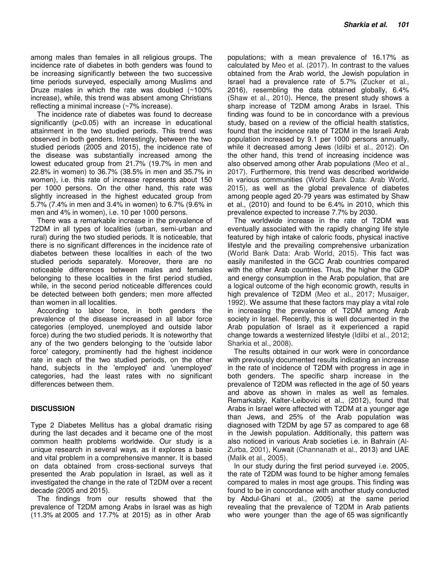among males than females in all religious groups. The incidence rate of diabetes in both genders was found to be increasing significantly between the two successive time periods surveyed, especially among Muslims and Druze males in which the rate was doubled (~100% increase), while, this trend was absent among Christians reflecting a minimal increase (~7% increase).

The incidence rate of diabetes was found to decrease significantly  $(p<0.05)$  with an increase in educational attainment in the two studied periods. This trend was observed in both genders. Interestingly, between the two studied periods (2005 and 2015), the incidence rate of the disease was substantially increased among the lowest educated group from 21.7% (19.7% in men and 22.8% in women) to 36.7% (38.5% in men and 35.7% in women), i.e. this rate of increase represents about 150 per 1000 persons. On the other hand, this rate was slightly increased in the highest educated group from 5.7% (7.4% in men and 3.4% in women) to 6.7% (9.6% in men and 4% in women), i.e. 10 per 1000 persons.

There was a remarkable increase in the prevalence of T2DM in all types of localities (urban, semi-urban and rural) during the two studied periods. It is noticeable, that there is no significant differences in the incidence rate of diabetes between these localities in each of the two studied periods separately. Moreover, there are no noticeable differences between males and females belonging to these localities in the first period studied, while, in the second period noticeable differences could be detected between both genders; men more affected than women in all localities.

According to labor force, in both genders the prevalence of the disease increased in all labor force categories (employed, unemployed and outside labor force) during the two studied periods. It is noteworthy that any of the two genders belonging to the 'outside labor force' category, prominently had the highest incidence rate in each of the two studied periods, on the other hand, subjects in the 'employed' and 'unemployed' categories, had the least rates with no significant differences between them.

## **DISCUSSION**

Type 2 Diabetes Mellitus has a global dramatic rising during the last decades and it became one of the most common health problems worldwide. Our study is a unique research in several ways, as it explores a basic and vital problem in a comprehensive manner. It is based on data obtained from cross-sectional surveys that presented the Arab population in Israel, as well as it investigated the change in the rate of T2DM over a recent decade (2005 and 2015).

The findings from our results showed that the prevalence of T2DM among Arabs in Israel was as high (11.3% at 2005 and 17.7% at 2015) as in other Arab

populations; with a mean prevalence of 16.17% as calculated by Meo et al. (2017). In contrast to the values obtained from the Arab world, the Jewish population in Israel had a prevalence rate of 5.7% (Zucker et al., 2016), resembling the data obtained globally, 6.4% (Shaw et al., 2010). Hence, the present study shows a sharp increase of T2DM among Arabs in Israel. This finding was found to be in concordance with a previous study, based on a review of the official health statistics, found that the incidence rate of T2DM in the Israeli Arab population increased by 9.1 per 1000 persons annually, while it decreased among Jews (Idilbi et al., 2012). On the other hand, this trend of increasing incidence was also observed among other Arab populations (Meo et al., 2017). Furthermore, this trend was described worldwide in various communities (World Bank Data: Arab World, 2015), as well as the global prevalence of diabetes among people aged 20-79 years was estimated by Shaw et al., (2010) and found to be 6.4% in 2010, which this prevalence expected to increase 7.7% by 2030.

The worldwide increase in the rate of T2DM was eventually associated with the rapidly changing life style featured by high intake of caloric foods, physical inactive lifestyle and the prevailing comprehensive urbanization (World Bank Data: Arab World, 2015). This fact was easily manifested in the GCC Arab countries compared with the other Arab countries. Thus, the higher the GDP and energy consumption in the Arab population, that are a logical outcome of the high economic growth, results in high prevalence of T2DM (Meo et al., 2017; Musaiger, 1992). We assume that these factors may play a vital role in increasing the prevalence of T2DM among Arab society in Israel. Recently, this is well documented in the Arab population of Israel as it experienced a rapid change towards a westernized lifestyle (Idilbi et al., 2012; Sharkia et al., 2008).

The results obtained in our work were in concordance with previously documented results indicating an increase in the rate of incidence of T2DM with progress in age in both genders. The specific sharp increase in the prevalence of T2DM was reflected in the age of 50 years and above as shown in males as well as females. Remarkably, Kalter-Leibovici et al., (2012), found that Arabs in Israel were affected with T2DM at a younger age than Jews, and 25% of the Arab population was diagnosed with T2DM by age 57 as compared to age 68 in the Jewish population. Additionally, this pattern was also noticed in various Arab societies i.e. in Bahrain (Al-Zurba, 2001), Kuwait (Channanath et al., 2013) and UAE (Malik et al., 2005).

In our study during the first period surveyed i.e. 2005, the rate of T2DM was found to be higher among females compared to males in most age groups. This finding was found to be in concordance with another study conducted by Abdul-Ghani et al., (2005) at the same period revealing that the prevalence of T2DM in Arab patients who were younger than the age of 65 was significantly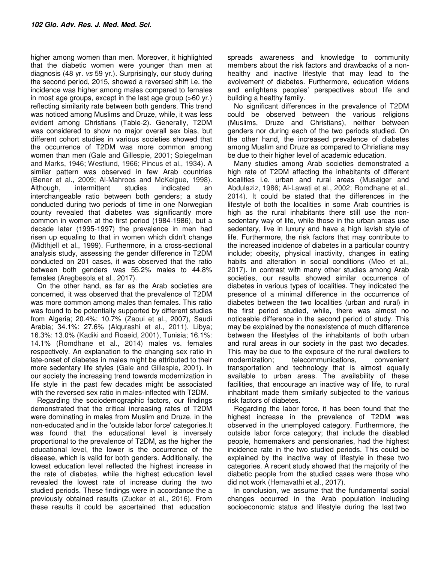higher among women than men. Moreover, it highlighted that the diabetic women were younger than men at diagnosis (48 yr. vs 59 yr.). Surprisingly, our study during the second period, 2015, showed a reversed shift i.e. the incidence was higher among males compared to females in most age groups, except in the last age group (>60 yr.) reflecting similarity rate between both genders. This trend was noticed among Muslims and Druze, while, it was less evident among Christians (Table-2). Generally, T2DM was considered to show no major overall sex bias, but different cohort studies in various societies showed that the occurrence of T2DM was more common among women than men (Gale and Gillespie, 2001; Spiegelman and Marks, 1946; Westlund, 1966; Pincus et al., 1934). A similar pattern was observed in few Arab countries (Bener et al., 2009; Al-Mahroos and McKeigue, 1998). Although, intermittent studies indicated an interchangeable ratio between both genders; a study conducted during two periods of time in one Norwegian county revealed that diabetes was significantly more common in women at the first period (1984-1986), but a decade later (1995-1997) the prevalence in men had risen up equaling to that in women which didn't change (Midthjell et al., 1999). Furthermore, in a cross-sectional analysis study, assessing the gender difference in T2DM conducted on 201 cases, it was observed that the ratio between both genders was 55.2% males to 44.8% females (Aregbesola et al., 2017).

On the other hand, as far as the Arab societies are concerned, it was observed that the prevalence of T2DM was more common among males than females. This ratio was found to be potentially supported by different studies from Algeria; 20.4%: 10.7% (Zaoui et al., 2007), Saudi Arabia; 34.1%: 27.6% (Alqurashi et al., 2011), Libya; 16.3%: 13.0% (Kadiki and Roaeid, 2001), Tunisia; 16.1%: 14.1% (Romdhane et al., 2014) males vs. females respectively. An explanation to the changing sex ratio in late-onset of diabetes in males might be attributed to their more sedentary life styles (Gale and Gillespie, 2001). In our society the increasing trend towards modernization in life style in the past few decades might be associated with the reversed sex ratio in males-inflected with T2DM.

Regarding the sociodemographic factors, our findings demonstrated that the critical increasing rates of T2DM were dominating in males from Muslim and Druze, in the non-educated and in the 'outside labor force' categories.It was found that the educational level is inversely proportional to the prevalence of T2DM, as the higher the educational level, the lower is the occurrence of the disease, which is valid for both genders. Additionally, the lowest education level reflected the highest increase in the rate of diabetes, while the highest education level revealed the lowest rate of increase during the two studied periods. These findings were in accordance the a previously obtained results (Zucker et al., 2016). From these results it could be ascertained that education

spreads awareness and knowledge to community members about the risk factors and drawbacks of a nonhealthy and inactive lifestyle that may lead to the evolvement of diabetes. Furthermore, education widens and enlightens peoples' perspectives about life and building a healthy family.

No significant differences in the prevalence of T2DM could be observed between the various religions (Muslims, Druze and Christians), neither between genders nor during each of the two periods studied. On the other hand, the increased prevalence of diabetes among Muslim and Druze as compared to Christians may be due to their higher level of academic education.

Many studies among Arab societies demonstrated a high rate of T2DM affecting the inhabitants of different localities i.e. urban and rural areas (Musaiger and Abdulaziz, 1986; Al-Lawati et al., 2002; Romdhane et al., 2014). It could be stated that the differences in the lifestyle of both the localities in some Arab countries is high as the rural inhabitants there still use the nonsedentary way of life, while those in the urban areas use sedentary, live in luxury and have a high lavish style of life. Furthermore, the risk factors that may contribute to the increased incidence of diabetes in a particular country include; obesity, physical inactivity, changes in eating habits and alteration in social conditions (Meo et al., 2017). In contrast with many other studies among Arab societies, our results showed similar occurrence of diabetes in various types of localities. They indicated the presence of a minimal difference in the occurrence of diabetes between the two localities (urban and rural) in the first period studied, while, there was almost no noticeable difference in the second period of study. This may be explained by the nonexistence of much difference between the lifestyles of the inhabitants of both urban and rural areas in our society in the past two decades. This may be due to the exposure of the rural dwellers to modernization; telecommunications, convenient transportation and technology that is almost equally available to urban areas. The availability of these facilities, that encourage an inactive way of life, to rural inhabitant made them similarly subjected to the various risk factors of diabetes.

Regarding the labor force, it has been found that the highest increase in the prevalence of T2DM was observed in the unemployed category. Furthermore, the outside labor force category; that include the disabled people, homemakers and pensionaries, had the highest incidence rate in the two studied periods. This could be explained by the inactive way of lifestyle in these two categories. A recent study showed that the majority of the diabetic people from the studied cases were those who did not work (Hemavathi et al., 2017).

In conclusion, we assume that the fundamental social changes occurred in the Arab population including socioeconomic status and lifestyle during the last two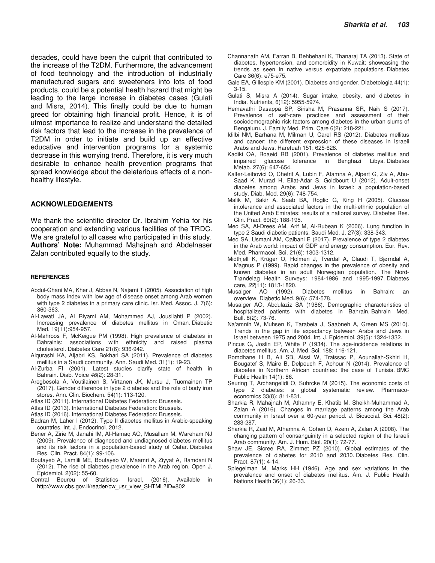decades, could have been the culprit that contributed to the increase of the T2DM. Furthermore, the advancement of food technology and the introduction of industrially manufactured sugars and sweeteners into lots of food products, could be a potential health hazard that might be leading to the large increase in diabetes cases (Gulati and Misra, 2014). This finally could be due to human greed for obtaining high financial profit. Hence, it is of utmost importance to realize and understand the detailed risk factors that lead to the increase in the prevalence of T2DM in order to initiate and build up an effective educative and intervention programs for a systemic decrease in this worrying trend. Therefore, it is very much desirable to enhance health prevention programs that spread knowledge about the deleterious effects of a nonhealthy lifestyle.

#### **ACKNOWLEDGEMENTS**

We thank the scientific director Dr. Ibrahim Yehia for his cooperation and extending various facilities of the TRDC. We are grateful to all cases who participated in this study. **Authors' Note:** Muhammad Mahajnah and Abdelnaser Zalan contributed equally to the study.

#### **REFERENCES**

- Abdul-Ghani MA, Kher J, Abbas N, Najami T (2005). Association of high body mass index with low age of disease onset among Arab women with type 2 diabetes in a primary care clinic. Isr. Med. Assoc. J. 7(6): 360-363.
- Al-Lawati JA, Al Riyami AM, Mohammed AJ, Jousilahti P (2002). Increasing prevalence of diabetes mellitus in Oman. Diabetic Med. 19(11):954-957.
- Al-Mahroos F, McKeigue PM (1998). High prevalence of diabetes in Bahrainis: associations with ethnicity and raised plasma cholesterol. Diabetes Care 21(6): 936-942.
- Alqurashi KA, Aljabri KS, Bokhari SA (2011). Prevalence of diabetes mellitus in a Saudi community. Ann. Saudi Med. 31(1): 19-23.
- Al-Zurba FI (2001). Latest studies clarify state of health in Bahrain. Diab. Voice 46(2): 28-31.
- Aregbesola A, Voutilainen S, Virtanen JK, Mursu J, Tuomainen TP (2017). Gender difference in type 2 diabetes and the role of body iron stores. Ann. Clin. Biochem. 54(1): 113-120.
- Atlas ID (2011). International Diabetes Federation: Brussels.
- Atlas ID (2013). International Diabetes Federation: Brussels.
- Atlas ID (2016). International Diabetes Federation: Brussels.
- Badran M, Laher I (2012). Type II diabetes mellitus in Arabic-speaking countries. Int. J. Endocrinol. 2012.
- Bener A, Zirie M, Janahi IM, Al-Hamaq AO, Musallam M, Wareham NJ (2009). Prevalence of diagnosed and undiagnosed diabetes mellitus and its risk factors in a population-based study of Qatar. Diabetes Res. Clin. Pract. 84(1): 99-106.
- Boutayeb A, Lamlili ME, Boutayeb W, Maamri A, Ziyyat A, Ramdani N (2012). The rise of diabetes prevalence in the Arab region. Open J. Epidemiol. 2(02): 55-60.
- Central Beureu of Statistics- Israel, (2016). Available in http://www.cbs.gov.il/reader/cw\_usr\_view\_SHTML?ID=802
- Channanath AM, Farran B, Behbehani K, Thanaraj TA (2013). State of diabetes, hypertension, and comorbidity in Kuwait: showcasing the trends as seen in native versus expatriate populations. Diabetes Care 36(6): e75-e75.
- Gale EA, Gillespie KM (2001). Diabetes and gender. Diabetologia 44(1): 3-15.
- Gulati S, Misra A (2014). Sugar intake, obesity, and diabetes in India. Nutrients, 6(12): 5955-5974.
- Hemavathi Dasappa SP, Sirisha M, Prasanna SR, Naik S (2017). Prevalence of self-care practices and assessment of their sociodemographic risk factors among diabetes in the urban slums of Bengaluru. J. Family Med. Prim. Care 6(2): 218-221.
- Idilbi NM, Barhana M, Milman U, Carel RS (2012). Diabetes mellitus and cancer: the different expression of these diseases in Israeli Arabs and Jews. Harefuah 151: 625-628.
- Kadiki OA, Roaeid RB (2001). Prevalence of diabetes mellitus and impaired glucose tolerance in Benghazi Libya. Diabetes Metab. 27(6): 647-654.
- Kalter-Leibovici O, Chetrit A, Lubin F, Atamna A, Alpert G, Ziv A, Abu-Saad K, Murad H, Eilat-Adar S, Goldbourt U (2012). Adult-onset diabetes among Arabs and Jews in Israel: a population-based study. Diab. Med. 29(6): 748-754.
- Malik M, Bakir A, Saab BA, Roglic G, King H (2005). Glucose intolerance and associated factors in the multi-ethnic population of the United Arab Emirates: results of a national survey. Diabetes Res. Clin. Pract. 69(2): 188-195.
- Meo SA, Al-Drees AM, Arif M, Al-Rubean K (2006). Lung function in type 2 Saudi diabetic patients. Saudi Med. J. 27(3): 338-343.
- Meo SA, Usmani AM, Qalbani E (2017). Prevalence of type 2 diabetes in the Arab world: impact of GDP and energy consumption. Eur. Rev. Med. Pharmacol. Sci. 21(6): 1303-1312.
- Midthjell K, Krüger O, Holmen J, Tverdal A, Claudi T, Bjørndal A, Magnus P (1999). Rapid changes in the prevalence of obesity and known diabetes in an adult Norwegian population. The Nord-Trøndelag Health Surveys: 1984-1986 and 1995-1997. Diabetes care, 22(11): 1813-1820.
- Musaiger AO (1992). Diabetes mellitus in Bahrain: an overview. Diabetic Med. 9(6): 574-578.
- Musaiger AO, Abdulaziz SA (1986). Demographic characteristics of hospitalized patients with diabetes in Bahrain. Bahrain Med. Bull. 8(2): 73-76.
- Na'amnih W, Muhsen K, Tarabeia J, Saabneh A, Green MS (2010). Trends in the gap in life expectancy between Arabs and Jews in Israel between 1975 and 2004. Int. J. Epidemiol. 39(5): 1324-1332.
- Pincus G, Joslin EP, White P (1934). The age-incidence relations in diabetes mellitus. Am. J. Med. Sci. 188: 116-121.
- Romdhane H B, Ali SB, Aissi W, Traissac P, Aounallah-Skhiri H, Bougatef S, Maire B, Delpeuch F, Achour N (2014). Prevalence of diabetes in Northern African countries: the case of Tunisia. BMC Public Health 14(1): 86.
- Seuring T, Archangelidi O, Suhrcke M (2015). The economic costs of type 2 diabetes: a global systematic review. Pharmacoeconomics 33(8): 811-831.
- Sharkia R, Mahajnah M, Athamny E, Khatib M, Sheikh-Muhammad A, Zalan A (2016). Changes in marriage patterns among the Arab community in Israel over a 60-year period. J. Biosocial. Sci. 48(2): 283-287.
- Sharkia R, Zaid M, Athamna A, Cohen D, Azem A, Zalan A (2008). The changing pattern of consanguinity in a selected region of the Israeli Arab community. Am. J. Hum. Biol. 20(1): 72-77.
- Shaw JE, Sicree RA, Zimmet PZ (2010). Global estimates of the prevalence of diabetes for 2010 and 2030. Diabetes Res. Clin. Pract. 87(1): 4-14.
- Spiegelman M, Marks HH (1946). Age and sex variations in the prevalence and onset of diabetes mellitus. Am. J. Public Health Nations Health 36(1): 26-33.